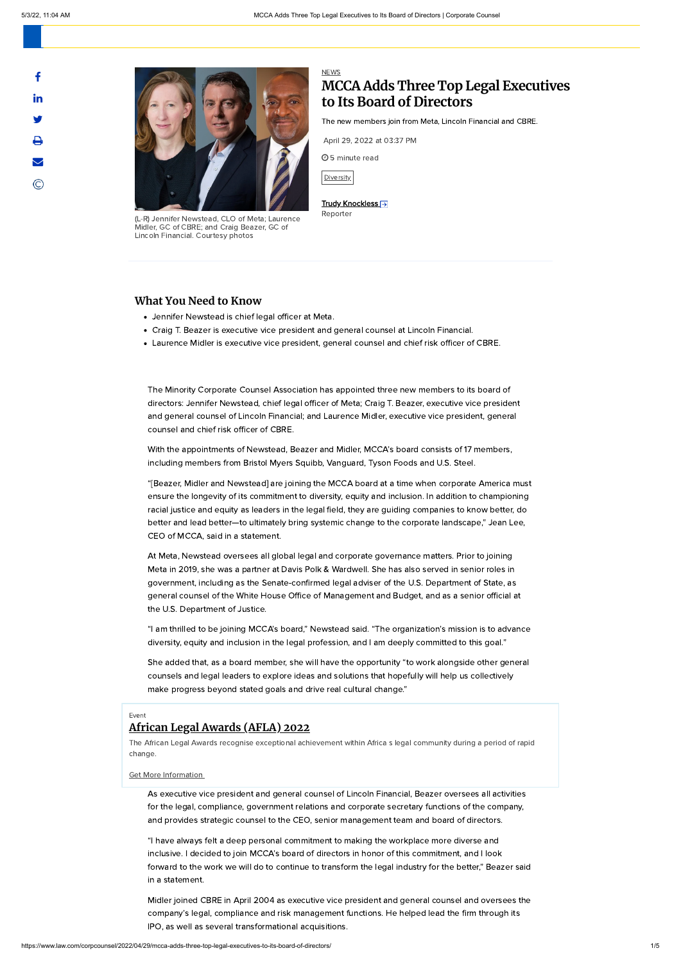



(L-R) Jennifer Newstead, CLO of Meta; Laurence Midler, GC of CBRE; and Craig Beazer, GC of Lincoln Financial. Courtesy photos

# [NEWS](https://www.law.com/corpcounsel/news/) **MCCA Adds Three Top Legal Executives to Its Board of Directors**

The new members join from Meta, Lincoln Financial and CBRE.

April 29, 2022 at 03:37 PM

5 minute read

[Diversity](https://www.law.com/topics/diversity/)

#### Trudy [Knockless](https://www.law.com/author/profile/trudy-knockless/) →

Reporter

# Event

## **African Legal [Awards](https://www.event.law.com/legalweek-AfricanLegalAwards) (AFLA) 2022**

The African Legal Awards recognise exceptional achievement within Africa s legal community during a period of rapid change.

Get More [Information](https://www.event.law.com/legalweek-AfricanLegalAwards) 

### **What You Need to Know**

- Jennifer Newstead is chief legal officer at Meta.
- Craig T. Beazer is executive vice president and general counsel at Lincoln Financial.
- Laurence Midler is executive vice president, general counsel and chief risk officer of CBRE.

The Minority Corporate Counsel Association has appointed three new members to its board of directors: Jennifer Newstead, chief legal officer of Meta; Craig T. Beazer, executive vice president and general counsel of Lincoln Financial; and Laurence Midler, executive vice president, general counsel and chief risk officer of CBRE.

With the appointments of Newstead, Beazer and Midler, MCCA's board consists of 17 members, including members from Bristol Myers Squibb, Vanguard, Tyson Foods and U.S. Steel.

"[Beazer, Midler and Newstead] are joining the MCCA board at a time when corporate America must ensure the longevity of its commitment to diversity, equity and inclusion. In addition to championing racial justice and equity as leaders in the legal field, they are guiding companies to know better, do better and lead better—to ultimately bring systemic change to the corporate landscape," Jean Lee, CEO of MCCA, said in a statement.

At Meta, Newstead oversees all global legal and corporate governance matters. Prior to joining Meta in 2019, she was a partner at Davis Polk & Wardwell. She has also served in senior roles in government, including as the Senate-confirmed legal adviser of the U.S. Department of State, as general counsel of the White House Office of Management and Budget, and as a senior official at the U.S. Department of Justice.

"I am thrilled to be joining MCCA's board," Newstead said. "The organization's mission is to advance diversity, equity and inclusion in the legal profession, and I am deeply committed to this goal."

She added that, as a board member, she will have the opportunity "to work alongside other general counsels and legal leaders to explore ideas and solutions that hopefully will help us collectively make progress beyond stated goals and drive real cultural change."

As executive vice president and general counsel of Lincoln Financial, Beazer oversees all activities for the legal, compliance, government relations and corporate secretary functions of the company, and provides strategic counsel to the CEO, senior management team and board of directors.

"I have always felt a deep personal commitment to making the workplace more diverse and inclusive. I decided to join MCCA's board of directors in honor of this commitment, and I look forward to the work we will do to continue to transform the legal industry for the better," Beazer said in a statement.

Midler joined CBRE in April 2004 as executive vice president and general counsel and oversees the company's legal, compliance and risk management functions. He helped lead the firm through its IPO, as well as several transformational acquisitions.